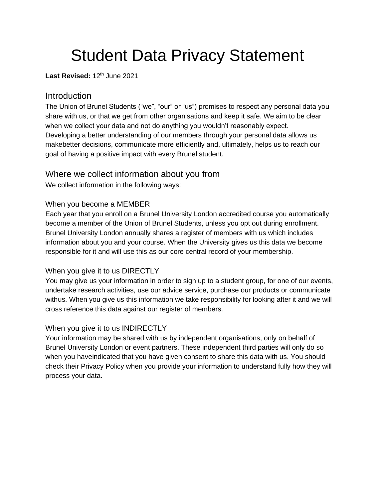# Student Data Privacy Statement

Last Revised: 12<sup>th</sup> June 2021

# **Introduction**

The Union of Brunel Students ("we", "our" or "us") promises to respect any personal data you share with us, or that we get from other organisations and keep it safe. We aim to be clear when we collect your data and not do anything you wouldn't reasonably expect. Developing a better understanding of our members through your personal data allows us makebetter decisions, communicate more efficiently and, ultimately, helps us to reach our goal of having a positive impact with every Brunel student.

# Where we collect information about you from

We collect information in the following ways:

# When you become a MEMBER

Each year that you enroll on a Brunel University London accredited course you automatically become a member of the Union of Brunel Students, unless you opt out during enrollment. Brunel University London annually shares a register of members with us which includes information about you and your course. When the University gives us this data we become responsible for it and will use this as our core central record of your membership.

#### When you give it to us DIRECTLY

You may give us your information in order to sign up to a student group, for one of our events, undertake research activities, use our advice service, purchase our products or communicate withus. When you give us this information we take responsibility for looking after it and we will cross reference this data against our register of members.

#### When you give it to us INDIRECTLY

Your information may be shared with us by independent organisations, only on behalf of Brunel University London or event partners. These independent third parties will only do so when you haveindicated that you have given consent to share this data with us. You should check their Privacy Policy when you provide your information to understand fully how they will process your data.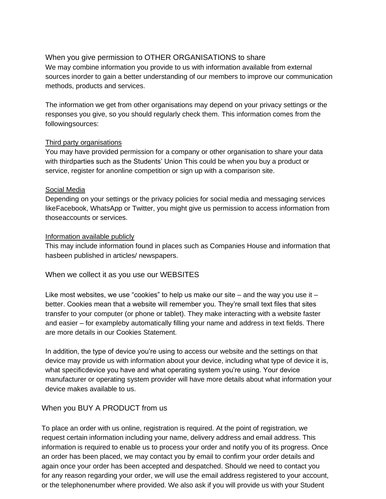# When you give permission to OTHER ORGANISATIONS to share

We may combine information you provide to us with information available from external sources inorder to gain a better understanding of our members to improve our communication methods, products and services.

The information we get from other organisations may depend on your privacy settings or the responses you give, so you should regularly check them. This information comes from the followingsources:

#### Third party organisations

You may have provided permission for a company or other organisation to share your data with thirdparties such as the Students' Union This could be when you buy a product or service, register for anonline competition or sign up with a comparison site.

#### Social Media

Depending on your settings or the privacy policies for social media and messaging services likeFacebook, WhatsApp or Twitter, you might give us permission to access information from thoseaccounts or services.

#### Information available publicly

This may include information found in places such as Companies House and information that hasbeen published in articles/ newspapers.

When we collect it as you use our WEBSITES

Like most websites, we use "cookies" to help us make our site  $-$  and the way you use it  $$ better. Cookies mean that a website will remember you. They're small text files that sites transfer to your computer (or phone or tablet). They make interacting with a website faster and easier – for exampleby automatically filling your name and address in text fields. There are more details in our Cookies Statement.

In addition, the type of device you're using to access our website and the settings on that device may provide us with information about your device, including what type of device it is, what specificdevice you have and what operating system you're using. Your device manufacturer or operating system provider will have more details about what information your device makes available to us.

#### When you BUY A PRODUCT from us

To place an order with us online, registration is required. At the point of registration, we request certain information including your name, delivery address and email address. This information is required to enable us to process your order and notify you of its progress. Once an order has been placed, we may contact you by email to confirm your order details and again once your order has been accepted and despatched. Should we need to contact you for any reason regarding your order, we will use the email address registered to your account, or the telephonenumber where provided. We also ask if you will provide us with your Student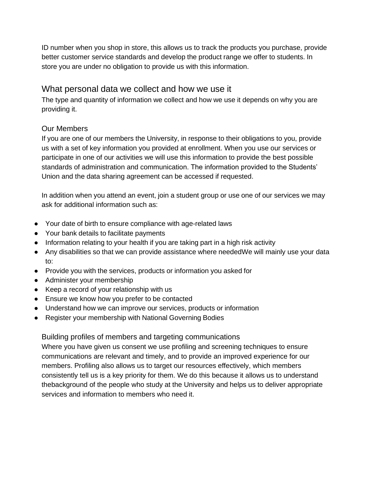ID number when you shop in store, this allows us to track the products you purchase, provide better customer service standards and develop the product range we offer to students. In store you are under no obligation to provide us with this information.

# What personal data we collect and how we use it

The type and quantity of information we collect and how we use it depends on why you are providing it.

# Our Members

If you are one of our members the University, in response to their obligations to you, provide us with a set of key information you provided at enrollment. When you use our services or participate in one of our activities we will use this information to provide the best possible standards of administration and communication. The information provided to the Students' Union and the data sharing agreement can be accessed if requested.

In addition when you attend an event, join a student group or use one of our services we may ask for additional information such as:

- Your date of birth to ensure compliance with age-related laws
- Your bank details to facilitate payments
- Information relating to your health if you are taking part in a high risk activity
- Any disabilities so that we can provide assistance where neededWe will mainly use your data to:
- Provide you with the services, products or information you asked for
- Administer your membership
- Keep a record of your relationship with us
- Ensure we know how you prefer to be contacted
- Understand how we can improve our services, products or information
- Register your membership with National Governing Bodies

#### Building profiles of members and targeting communications

Where you have given us consent we use profiling and screening techniques to ensure communications are relevant and timely, and to provide an improved experience for our members. Profiling also allows us to target our resources effectively, which members consistently tell us is a key priority for them. We do this because it allows us to understand thebackground of the people who study at the University and helps us to deliver appropriate services and information to members who need it.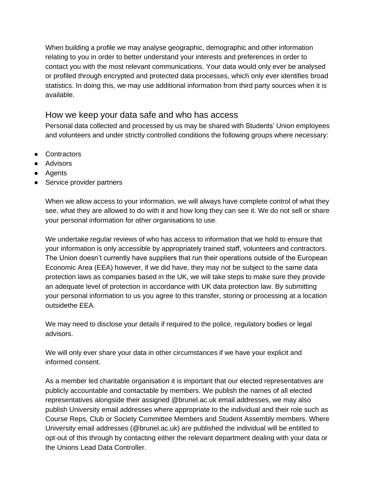When building a profile we may analyse geographic, demographic and other information relating to you in order to better understand your interests and preferences in order to contact you with the most relevant communications. Your data would only ever be analysed or profiled through encrypted and protected data processes, which only ever identifies broad statistics. In doing this, we may use additional information from third party sources when it is available.

# How we keep your data safe and who has access

Personal data collected and processed by us may be shared with Students' Union employees and volunteers and under strictly controlled conditions the following groups where necessary:

- Contractors
- Advisors
- Agents
- Service provider partners

When we allow access to your information, we will always have complete control of what they see, what they are allowed to do with it and how long they can see it. We do not sell or share your personal information for other organisations to use.

We undertake regular reviews of who has access to information that we hold to ensure that your information is only accessible by appropriately trained staff, volunteers and contractors. The Union doesn't currently have suppliers that run their operations outside of the European Economic Area (EEA) however, if we did have, they may not be subject to the same data protection laws as companies based in the UK, we will take steps to make sure they provide an adequate level of protection in accordance with UK data protection law. By submitting your personal information to us you agree to this transfer, storing or processing at a location outsidethe EEA.

We may need to disclose your details if required to the police, regulatory bodies or legal advisors.

We will only ever share your data in other circumstances if we have your explicit and informed consent.

As a member led charitable organisation it is important that our elected representatives are publicly accountable and contactable by members. We publish the names of all elected representatives alongside their assigned @brunel.ac.uk email addresses, we may also publish University email addresses where appropriate to the individual and their role such as Course Reps, Club or Society Committee Members and Student Assembly members. Where University email addresses (@brunel.ac.uk) are published the individual will be entitled to opt-out of this through by contacting either the relevant department dealing with your data or the Unions Lead Data Controller.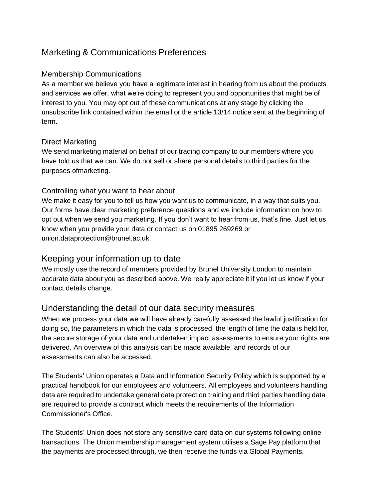# Marketing & Communications Preferences

#### Membership Communications

As a member we believe you have a legitimate interest in hearing from us about the products and services we offer, what we're doing to represent you and opportunities that might be of interest to you. You may opt out of these communications at any stage by clicking the unsubscribe link contained within the email or the article 13/14 notice sent at the beginning of term.

# Direct Marketing

We send marketing material on behalf of our trading company to our members where you have told us that we can. We do not sell or share personal details to third parties for the purposes ofmarketing.

# Controlling what you want to hear about

We make it easy for you to tell us how you want us to communicate, in a way that suits you. Our forms have clear marketing preference questions and we include information on how to opt out when we send you marketing. If you don't want to hear from us, that's fine. Just let us know when you provide your data or contact us on 01895 269269 or [union.dataprotection@brunel.ac.uk.](mailto:union.dataprotection@brunel.ac.uk)

# Keeping your information up to date

We mostly use the record of members provided by Brunel University London to maintain accurate data about you as described above. We really appreciate it if you let us know if your contact details change.

# Understanding the detail of our data security measures

When we process your data we will have already carefully assessed the lawful justification for doing so, the parameters in which the data is processed, the length of time the data is held for, the secure storage of your data and undertaken impact assessments to ensure your rights are delivered. An overview of this analysis can be made available, and records of our assessments can also be accessed.

The Students' Union operates a Data and Information Security Policy which is supported by a practical handbook for our employees and volunteers. All employees and volunteers handling data are required to undertake general data protection training and third parties handling data are required to provide a contract which meets the requirements of the Information Commissioner's Office.

The Students' Union does not store any sensitive card data on our systems following online transactions. The Union membership management system utilises a Sage Pay platform that the payments are processed through, we then receive the funds via Global Payments.